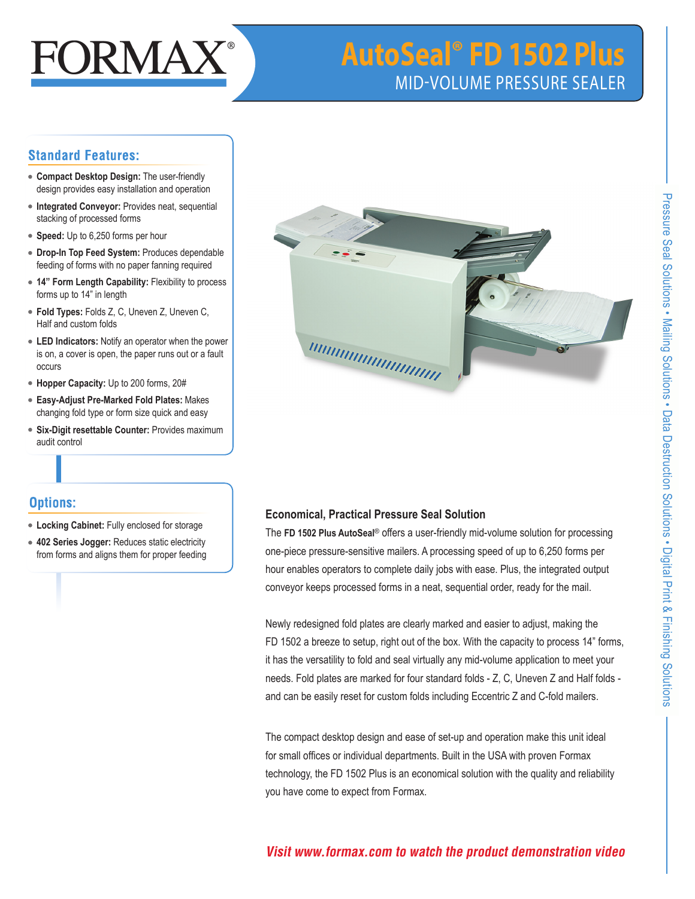

# **AutoSeal® FD 1502 Plus** MID-VOLUME PRESSURE SEALER

## **Standard Features:**

- **Compact Desktop Design:** The user-friendly design provides easy installation and operation
- **Integrated Conveyor:** Provides neat, sequential stacking of processed forms
- **Speed:** Up to 6,250 forms per hour
- **Drop-In Top Feed System:** Produces dependable feeding of forms with no paper fanning required
- **14" Form Length Capability:** Flexibility to process forms up to 14" in length
- **Fold Types:** Folds Z, C, Uneven Z, Uneven C, Half and custom folds
- **LED Indicators:** Notify an operator when the power is on, a cover is open, the paper runs out or a fault occurs
- **Hopper Capacity:** Up to 200 forms, 20#
- **Easy-Adjust Pre-Marked Fold Plates:** Makes changing fold type or form size quick and easy
- **Six-Digit resettable Counter:** Provides maximum audit control



### **Options:**

- **Locking Cabinet:** Fully enclosed for storage
- **402 Series Jogger:** Reduces static electricity from forms and aligns them for proper feeding

## **Economical, Practical Pressure Seal Solution**

The **FD 1502 Plus AutoSeal**® offers a user-friendly mid-volume solution for processing one-piece pressure-sensitive mailers. A processing speed of up to 6,250 forms per hour enables operators to complete daily jobs with ease. Plus, the integrated output conveyor keeps processed forms in a neat, sequential order, ready for the mail.

Newly redesigned fold plates are clearly marked and easier to adjust, making the FD 1502 a breeze to setup, right out of the box. With the capacity to process 14" forms, it has the versatility to fold and seal virtually any mid-volume application to meet your needs. Fold plates are marked for four standard folds - Z, C, Uneven Z and Half folds and can be easily reset for custom folds including Eccentric Z and C-fold mailers.

The compact desktop design and ease of set-up and operation make this unit ideal for small offices or individual departments. Built in the USA with proven Formax technology, the FD 1502 Plus is an economical solution with the quality and reliability you have come to expect from Formax.

## **Visit www.formax.com to watch the product demonstration video**